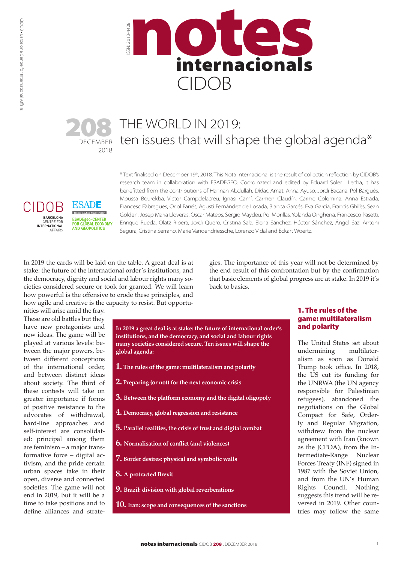

# DECEMBER 2018 208

**ESADE** 

**Bamon Liull University** 

**AND GEOPOLITICS** 

ESADEgeo-CENTER<br>FOR GLOBAL ECONOMY

CIDOB

BARCELONA

**AFFAIRS** 

CENTRE FOR<br>INTERNATIONAL

# THE WORLD IN 2019: ten issues that will shape the global agenda\*

\* Text finalised on December 19th, 2018. This Nota Internacional is the result of collection reflection by CIDOB's research team in collaboration with ESADEGEO. Coordinated and edited by Eduard Soler i Lecha, it has benefitted from the contributions of Hannah Abdullah, Dídac Amat, Anna Ayuso, Jordi Bacaria, Pol Bargués, Moussa Bourekba, Victor Campdelacreu, Ignasi Camí, Carmen Claudín, Carme Colomina, Anna Estrada, Francesc Fàbregues, Oriol Farrés, Agustí Fernández de Losada, Blanca Garcés, Eva Garcia, Francis Ghilès, Sean Golden, Josep Maria Lloveras, Óscar Mateos, Sergio Maydeu, Pol Morillas, Yolanda Onghena, Francesco Pasetti, Enrique Rueda, Olatz Ribera, Jordi Quero, Cristina Sala, Elena Sánchez, Héctor Sánchez, Ángel Saz, Antoni Segura, Cristina Serrano, Marie Vandendriessche, Lorenzo Vidal and Eckart Woertz.

In 2019 the cards will be laid on the table. A great deal is at stake: the future of the international order's institutions, and the democracy, dignity and social and labour rights many societies considered secure or took for granted. We will learn how powerful is the offensive to erode these principles, and how agile and creative is the capacity to resist. But opportu-

gies. The importance of this year will not be determined by the end result of this confrontation but by the confirmation that basic elements of global progress are at stake. In 2019 it's back to basics.

nities will arise amid the fray. These are old battles but they have new protagonists and new ideas. The game will be played at various levels: between the major powers, between different conceptions of the international order, and between distinct ideas about society. The third of these contests will take on greater importance if forms of positive resistance to the advocates of withdrawal, hard-line approaches and self-interest are consolidated: principal among them are feminism – a major transformative force – digital activism, and the pride certain urban spaces take in their open, diverse and connected societies. The game will not end in 2019, but it will be a time to take positions and to define alliances and strate-

**In 2019 a great deal is at stake: the future of international order's institutions, and the democracy, and social and labour rights many societies considered secure. Ten issues will shape the global agenda:**

- **1. The rules of the game: multilateralism and polarity**
- **2. Preparing (or not) for the next economic crisis**
- **3. Between the platform economy and the digital oligopoly**
- **4. Democracy, global regression and resistance**
- **5. Parallel realities, the crisis of trust and digital combat**
- **6. Normalisation of conflict (and violences)**
- **7. Border desires: physical and symbolic walls**
- **8. A protracted Brexit**
- **9. Brazil: division with global reverberations**
- **10. Iran: scope and consequences of the sanctions**

# 1. The rules of the game: multilateralism and polarity

The United States set about undermining multilateralism as soon as Donald Trump took office. In 2018, the US cut its funding for the UNRWA (the UN agency responsible for Palestinian refugees), abandoned the negotiations on the Global Compact for Safe, Orderly and Regular Migration, withdrew from the nuclear agreement with Iran (known as the JCPOA), from the Intermediate-Range Nuclear Forces Treaty (INF) signed in 1987 with the Soviet Union, and from the UN's Human Rights Council. Nothing suggests this trend will be reversed in 2019. Other countries may follow the same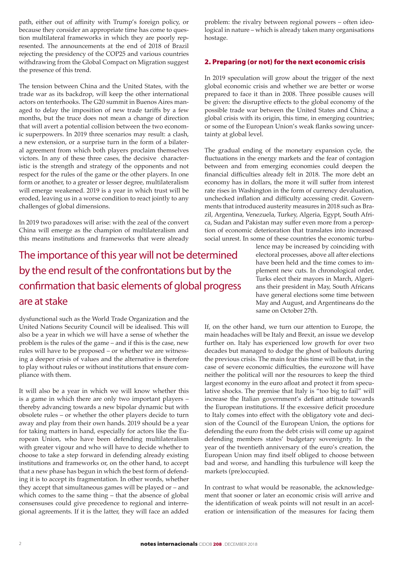path, either out of affinity with Trump's foreign policy, or because they consider an appropriate time has come to question multilateral frameworks in which they are poorly represented. The announcements at the end of 2018 of Brazil rejecting the presidency of the COP25 and various countries withdrawing from the Global Compact on Migration suggest the presence of this trend.

The tension between China and the United States, with the trade war as its backdrop, will keep the other international actors on tenterhooks. The G20 summit in Buenos Aires managed to delay the imposition of new trade tariffs by a few months, but the truce does not mean a change of direction that will avert a potential collision between the two economic superpowers. In 2019 three scenarios may result: a clash, a new extension, or a surprise turn in the form of a bilateral agreement from which both players proclaim themselves victors. In any of these three cases, the decisive characteristic is the strength and strategy of the opponents and not respect for the rules of the game or the other players. In one form or another, to a greater or lesser degree, multilateralism will emerge weakened. 2019 is a year in which trust will be eroded, leaving us in a worse condition to react jointly to any challenges of global dimensions.

In 2019 two paradoxes will arise: with the zeal of the convert China will emerge as the champion of multilateralism and this means institutions and frameworks that were already

The importance of this year will not be determined by the end result of the confrontations but by the confirmation that basic elements of global progress are at stake

dysfunctional such as the World Trade Organization and the United Nations Security Council will be idealised. This will also be a year in which we will have a sense of whether the problem is the rules of the game – and if this is the case, new rules will have to be proposed – or whether we are witnessing a deeper crisis of values and the alternative is therefore to play without rules or without institutions that ensure compliance with them.

It will also be a year in which we will know whether this is a game in which there are only two important players – thereby advancing towards a new bipolar dynamic but with obsolete rules – or whether the other players decide to turn away and play from their own hands. 2019 should be a year for taking matters in hand, especially for actors like the European Union, who have been defending multilateralism with greater vigour and who will have to decide whether to choose to take a step forward in defending already existing institutions and frameworks or, on the other hand, to accept that a new phase has begun in which the best form of defending it is to accept its fragmentation. In other words, whether they accept that simultaneous games will be played or – and which comes to the same thing – that the absence of global consensuses could give precedence to regional and interregional agreements. If it is the latter, they will face an added

problem: the rivalry between regional powers – often ideological in nature – which is already taken many organisations hostage.

# 2. Preparing (or not) for the next economic crisis

In 2019 speculation will grow about the trigger of the next global economic crisis and whether we are better or worse prepared to face it than in 2008. Three possible causes will be given: the disruptive effects to the global economy of the possible trade war between the United States and China; a global crisis with its origin, this time, in emerging countries; or some of the European Union's weak flanks sowing uncertainty at global level.

The gradual ending of the monetary expansion cycle, the fluctuations in the energy markets and the fear of contagion between and from emerging economies could deepen the financial difficulties already felt in 2018. The more debt an economy has in dollars, the more it will suffer from interest rate rises in Washington in the form of currency devaluation, unchecked inflation and difficulty accessing credit. Governments that introduced austerity measures in 2018 such as Brazil, Argentina, Venezuela, Turkey, Algeria, Egypt, South Africa, Sudan and Pakistan may suffer even more from a perception of economic deterioration that translates into increased social unrest. In some of these countries the economic turbu-

> lence may be increased by coinciding with electoral processes, above all after elections have been held and the time comes to implement new cuts. In chronological order, Turks elect their mayors in March, Algerians their president in May, South Africans have general elections some time between May and August, and Argentineans do the same on October 27th.

If, on the other hand, we turn our attention to Europe, the main headaches will be Italy and Brexit, an issue we develop further on. Italy has experienced low growth for over two decades but managed to dodge the ghost of bailouts during the previous crisis. The main fear this time will be that, in the case of severe economic difficulties, the eurozone will have neither the political will nor the resources to keep the third largest economy in the euro afloat and protect it from speculative shocks. The premise that Italy is "too big to fail" will increase the Italian government's defiant attitude towards the European institutions. If the excessive deficit procedure to Italy comes into effect with the obligatory vote and decision of the Council of the European Union, the options for defending the euro from the debt crisis will come up against defending members states' budgetary sovereignty. In the year of the twentieth anniversary of the euro's creation, the European Union may find itself obliged to choose between bad and worse, and handling this turbulence will keep the markets (pre)occupied.

In contrast to what would be reasonable, the acknowledgement that sooner or later an economic crisis will arrive and the identification of weak points will not result in an acceleration or intensification of the measures for facing them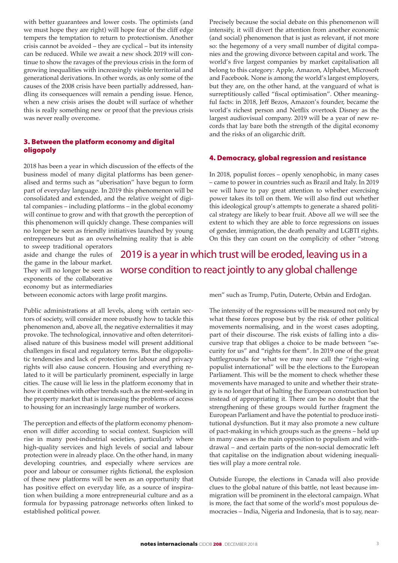with better guarantees and lower costs. The optimists (and we must hope they are right) will hope fear of the cliff edge tempers the temptation to return to protectionism. Another crisis cannot be avoided – they are cyclical – but its intensity can be reduced. While we await a new shock 2019 will continue to show the ravages of the previous crisis in the form of growing inequalities with increasingly visible territorial and generational derivations. In other words, as only some of the causes of the 2008 crisis have been partially addressed, handling its consequences will remain a pending issue. Hence, when a new crisis arises the doubt will surface of whether this is really something new or proof that the previous crisis was never really overcome.

## 3. Between the platform economy and digital oligopoly

2018 has been a year in which discussion of the effects of the business model of many digital platforms has been generalised and terms such as "uberisation" have begun to form part of everyday language. In 2019 this phenomenon will be consolidated and extended, and the relative weight of digital companies – including platforms – in the global economy will continue to grow and with that growth the perception of this phenomenon will quickly change. These companies will no longer be seen as friendly initiatives launched by young entrepreneurs but as an overwhelming reality that is able

Precisely because the social debate on this phenomenon will intensify, it will divert the attention from another economic (and social) phenomenon that is just as relevant, if not more so: the hegemony of a very small number of digital companies and the growing divorce between capital and work. The world's five largest companies by market capitalisation all belong to this category: Apple, Amazon, Alphabet, Microsoft and Facebook. None is among the world's largest employers, but they are, on the other hand, at the vanguard of what is surreptitiously called "fiscal optimisation". Other meaningful facts: in 2018, Jeff Bezos, Amazon's founder, became the world's richest person and Netflix overtook Disney as the largest audiovisual company. 2019 will be a year of new records that lay bare both the strength of the digital economy and the risks of an oligarchic drift.

# 4. Democracy, global regression and resistance

In 2018, populist forces – openly xenophobic, in many cases – came to power in countries such as Brazil and Italy. In 2019 we will have to pay great attention to whether exercising power takes its toll on them. We will also find out whether this ideological group's attempts to generate a shared political strategy are likely to bear fruit. Above all we will see the extent to which they are able to force regressions on issues of gender, immigration, the death penalty and LGBTI rights. On this they can count on the complicity of other "strong

to sweep traditional operators aside and change the rules of the game in the labour market. They will no longer be seen as exponents of the collaborative economy but as intermediaries

2019 is a year in which trust will be eroded, leaving us in a worse condition to react jointly to any global challenge

between economic actors with large profit margins.

Public administrations at all levels, along with certain sectors of society, will consider more robustly how to tackle this phenomenon and, above all, the negative externalities it may provoke. The technological, innovative and often deterritorialised nature of this business model will present additional challenges in fiscal and regulatory terms. But the oligopolistic tendencies and lack of protection for labour and privacy rights will also cause concern. Housing and everything related to it will be particularly prominent, especially in large cities. The cause will lie less in the platform economy that in how it combines with other trends such as the rent-seeking in the property market that is increasing the problems of access to housing for an increasingly large number of workers.

The perception and effects of the platform economy phenomenon will differ according to social context. Suspicion will rise in many post-industrial societies, particularly where high-quality services and high levels of social and labour protection were in already place. On the other hand, in many developing countries, and especially where services are poor and labour or consumer rights fictional, the explosion of these new platforms will be seen as an opportunity that has positive effect on everyday life, as a source of inspiration when building a more entrepreneurial culture and as a formula for bypassing patronage networks often linked to established political power.

men" such as Trump, Putin, Duterte, Orbán and Erdoğan.

The intensity of the regressions will be measured not only by what these forces propose but by the risk of other political movements normalising, and in the worst cases adopting, part of their discourse. The risk exists of falling into a discursive trap that obliges a choice to be made between "security for us" and "rights for them". In 2019 one of the great battlegrounds for what we may now call the "right-wing populist international" will be the elections to the European Parliament. This will be the moment to check whether these movements have managed to unite and whether their strategy is no longer that of halting the European construction but instead of appropriating it. There can be no doubt that the strengthening of these groups would further fragment the European Parliament and have the potential to produce institutional dysfunction. But it may also promote a new culture of pact-making in which groups such as the greens – held up in many cases as the main opposition to populism and withdrawal – and certain parts of the non-social democratic left that capitalise on the indignation about widening inequalities will play a more central role.

Outside Europe, the elections in Canada will also provide clues to the global nature of this battle, not least because immigration will be prominent in the electoral campaign. What is more, the fact that some of the world's most populous democracies – India, Nigeria and Indonesia, that is to say, near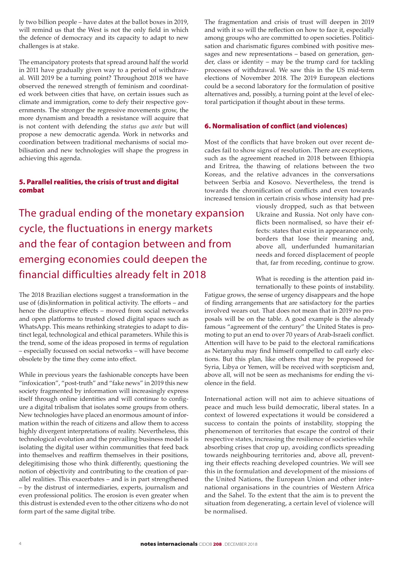ly two billion people – have dates at the ballot boxes in 2019, will remind us that the West is not the only field in which the defence of democracy and its capacity to adapt to new challenges is at stake.

The emancipatory protests that spread around half the world in 2011 have gradually given way to a period of withdrawal. Will 2019 be a turning point? Throughout 2018 we have observed the renewed strength of feminism and coordinated work between cities that have, on certain issues such as climate and immigration, come to defy their respective governments. The stronger the regressive movements grow, the more dynamism and breadth a resistance will acquire that is not content with defending the *status quo ante* but will propose a new democratic agenda. Work in networks and coordination between traditional mechanisms of social mobilisation and new technologies will shape the progress in achieving this agenda.

# 5. Parallel realities, the crisis of trust and digital combat

The gradual ending of the monetary expansion cycle, the fluctuations in energy markets and the fear of contagion between and from emerging economies could deepen the financial difficulties already felt in 2018

The 2018 Brazilian elections suggest a transformation in the use of (dis)information in political activity. The efforts – and hence the disruptive effects – moved from social networks and open platforms to trusted closed digital spaces such as WhatsApp. This means rethinking strategies to adapt to distinct legal, technological and ethical parameters. While this is the trend, some of the ideas proposed in terms of regulation – especially focussed on social networks – will have become obsolete by the time they come into effect.

While in previous years the fashionable concepts have been "infoxication", "post-truth" and "fake news" in 2019 this new society fragmented by information will increasingly express itself through online identities and will continue to configure a digital tribalism that isolates some groups from others. New technologies have placed an enormous amount of information within the reach of citizens and allow them to access highly divergent interpretations of reality. Nevertheless, this technological evolution and the prevailing business model is isolating the digital user within communities that feed back into themselves and reaffirm themselves in their positions, delegitimising those who think differently, questioning the notion of objectivity and contributing to the creation of parallel realities. This exacerbates – and is in part strengthened – by the distrust of intermediaries, experts, journalism and even professional politics. The erosion is even greater when this distrust is extended even to the other citizens who do not form part of the same digital tribe.

The fragmentation and crisis of trust will deepen in 2019 and with it so will the reflection on how to face it, especially among groups who are committed to open societies. Politicisation and charismatic figures combined with positive messages and new representations – based on generation, gender, class or identity – may be the trump card for tackling processes of withdrawal. We saw this in the US mid-term elections of November 2018. The 2019 European elections could be a second laboratory for the formulation of positive alternatives and, possibly, a turning point at the level of electoral participation if thought about in these terms.

### 6. Normalisation of conflict (and violences)

Most of the conflicts that have broken out over recent decades fail to show signs of resolution. There are exceptions, such as the agreement reached in 2018 between Ethiopia and Eritrea, the thawing of relations between the two Koreas, and the relative advances in the conversations between Serbia and Kosovo. Nevertheless, the trend is towards the chronification of conflicts and even towards increased tension in certain crisis whose intensity had pre-

> viously dropped, such as that between Ukraine and Russia. Not only have conflicts been normalised, so have their effects: states that exist in appearance only, borders that lose their meaning and, above all, underfunded humanitarian needs and forced displacement of people that, far from receding, continue to grow.

What is receding is the attention paid internationally to these points of instability.

Fatigue grows, the sense of urgency disappears and the hope of finding arrangements that are satisfactory for the parties involved wears out. That does not mean that in 2019 no proposals will be on the table. A good example is the already famous "agreement of the century" the United States is promoting to put an end to over 70 years of Arab-Israeli conflict. Attention will have to be paid to the electoral ramifications as Netanyahu may find himself compelled to call early elections. But this plan, like others that may be proposed for Syria, Libya or Yemen, will be received with scepticism and, above all, will not be seen as mechanisms for ending the violence in the field.

International action will not aim to achieve situations of peace and much less build democratic, liberal states. In a context of lowered expectations it would be considered a success to contain the points of instability, stopping the phenomenon of territories that escape the control of their respective states, increasing the resilience of societies while absorbing crises that crop up, avoiding conflicts spreading towards neighbouring territories and, above all, preventing their effects reaching developed countries. We will see this in the formulation and development of the missions of the United Nations, the European Union and other international organisations in the countries of Western Africa and the Sahel. To the extent that the aim is to prevent the situation from degenerating, a certain level of violence will be normalised.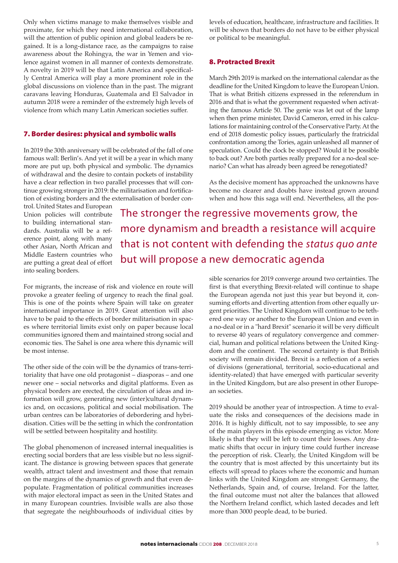Only when victims manage to make themselves visible and proximate, for which they need international collaboration, will the attention of public opinion and global leaders be regained. It is a long-distance race, as the campaigns to raise awareness about the Rohingya, the war in Yemen and violence against women in all manner of contexts demonstrate. A novelty in 2019 will be that Latin America and specifically Central America will play a more prominent role in the global discussions on violence than in the past. The migrant caravans leaving Honduras, Guatemala and El Salvador in autumn 2018 were a reminder of the extremely high levels of violence from which many Latin American societies suffer.

### 7. Border desires: physical and symbolic walls

In 2019 the 30th anniversary will be celebrated of the fall of one famous wall: Berlin's. And yet it will be a year in which many more are put up, both physical and symbolic. The dynamics of withdrawal and the desire to contain pockets of instability have a clear reflection in two parallel processes that will continue growing stronger in 2019: the militarisation and fortification of existing borders and the externalisation of border con-

trol. United States and European Union policies will contribute to building international standards. Australia will be a reference point, along with many other Asian, North African and Middle Eastern countries who are putting a great deal of effort into sealing borders.

The stronger the regressive movements grow, the more dynamism and breadth a resistance will acquire that is not content with defending the *status quo ante* but will propose a new democratic agenda

For migrants, the increase of risk and violence en route will provoke a greater feeling of urgency to reach the final goal. This is one of the points where Spain will take on greater international importance in 2019. Great attention will also have to be paid to the effects of border militarisation in spaces where territorial limits exist only on paper because local communities ignored them and maintained strong social and economic ties. The Sahel is one area where this dynamic will be most intense.

The other side of the coin will be the dynamics of trans-territoriality that have one old protagonist – diasporas – and one newer one – social networks and digital platforms. Even as physical borders are erected, the circulation of ideas and information will grow, generating new (inter)cultural dynamics and, on occasions, political and social mobilisation. The urban centres can be laboratories of debordering and hybridisation. Cities will be the setting in which the confrontation will be settled between hospitality and hostility.

The global phenomenon of increased internal inequalities is erecting social borders that are less visible but no less significant. The distance is growing between spaces that generate wealth, attract talent and investment and those that remain on the margins of the dynamics of growth and that even depopulate. Fragmentation of political communities increases with major electoral impact as seen in the United States and in many European countries. Invisible walls are also those that segregate the neighbourhoods of individual cities by

uate the risks and consequences of the decisions made in 2016. It is highly difficult, not to say impossible, to see any of the main players in this episode emerging as victor. More likely is that they will be left to count their losses. Any dramatic shifts that occur in injury time could further increase the perception of risk. Clearly, the United Kingdom will be the country that is most affected by this uncertainty but its effects will spread to places where the economic and human links with the United Kingdom are strongest: Germany, the Netherlands, Spain and, of course, Ireland. For the latter, the final outcome must not alter the balances that allowed the Northern Ireland conflict, which lasted decades and left more than 3000 people dead, to be buried.

levels of education, healthcare, infrastructure and facilities. It will be shown that borders do not have to be either physical or political to be meaningful.

#### 8. Protracted Brexit

March 29th 2019 is marked on the international calendar as the deadline for the United Kingdom to leave the European Union. That is what British citizens expressed in the referendum in 2016 and that is what the government requested when activating the famous Article 50. The genie was let out of the lamp when then prime minister, David Cameron, erred in his calculations for maintaining control of the Conservative Party. At the end of 2018 domestic policy issues, particularly the fratricidal confrontation among the Tories, again unleashed all manner of speculation. Could the clock be stopped? Would it be possible to back out? Are both parties really prepared for a no-deal scenario? Can what has already been agreed be renegotiated?

As the decisive moment has approached the unknowns have become no clearer and doubts have instead grown around when and how this saga will end. Nevertheless, all the pos-

sible scenarios for 2019 converge around two certainties. The first is that everything Brexit-related will continue to shape the European agenda not just this year but beyond it, consuming efforts and diverting attention from other equally urgent priorities. The United Kingdom will continue to be tethered one way or another to the European Union and even in a no-deal or in a "hard Brexit" scenario it will be very difficult to reverse 40 years of regulatory convergence and commercial, human and political relations between the United Kingdom and the continent. The second certainty is that British society will remain divided. Brexit is a reflection of a series of divisions (generational, territorial, socio-educational and identity-related) that have emerged with particular severity in the United Kingdom, but are also present in other European societies. 2019 should be another year of introspection. A time to eval-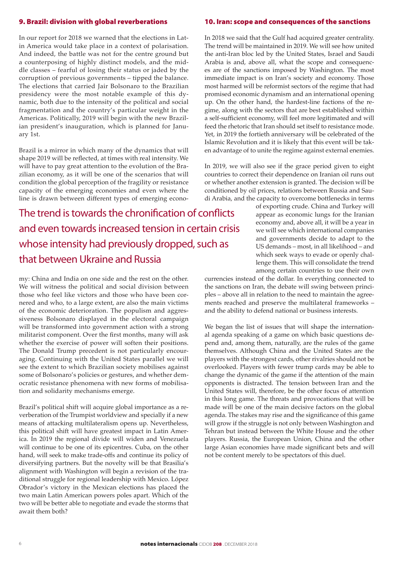### 9. Brazil: division with global reverberations

#### 10. Iran: scope and consequences of the sanctions

In our report for 2018 we warned that the elections in Latin America would take place in a context of polarisation. And indeed, the battle was not for the centre ground but a counterposing of highly distinct models, and the middle classes – fearful of losing their status or jaded by the corruption of previous governments – tipped the balance. The elections that carried Jair Bolsonaro to the Brazilian presidency were the most notable example of this dynamic, both due to the intensity of the political and social fragmentation and the country's particular weight in the Americas. Politically, 2019 will begin with the new Brazilian president's inauguration, which is planned for January 1st.

Brazil is a mirror in which many of the dynamics that will shape 2019 will be reflected, at times with real intensity. We will have to pay great attention to the evolution of the Brazilian economy, as it will be one of the scenarios that will condition the global perception of the fragility or resistance capacity of the emerging economies and even where the line is drawn between different types of emerging econo-

The trend is towards the chronification of conflicts and even towards increased tension in certain crisis whose intensity had previously dropped, such as that between Ukraine and Russia

my: China and India on one side and the rest on the other. We will witness the political and social division between those who feel like victors and those who have been cornered and who, to a large extent, are also the main victims of the economic deterioration. The populism and aggressiveness Bolsonaro displayed in the electoral campaign will be transformed into government action with a strong militarist component. Over the first months, many will ask whether the exercise of power will soften their positions. The Donald Trump precedent is not particularly encouraging. Continuing with the United States parallel we will see the extent to which Brazilian society mobilises against some of Bolsonaro's policies or gestures, and whether democratic resistance phenomena with new forms of mobilisation and solidarity mechanisms emerge.

Brazil's political shift will acquire global importance as a reverberation of the Trumpist worldview and specially if a new means of attacking multilateralism opens up. Nevertheless, this political shift will have greatest impact in Latin America. In 2019 the regional divide will widen and Venezuela will continue to be one of its epicentres. Cuba, on the other hand, will seek to make trade-offs and continue its policy of diversifying partners. But the novelty will be that Brasilia's alignment with Washington will begin a revision of the traditional struggle for regional leadership with Mexico. López Obrador's victory in the Mexican elections has placed the two main Latin American powers poles apart. Which of the two will be better able to negotiate and evade the storms that await them both?

In 2018 we said that the Gulf had acquired greater centrality. The trend will be maintained in 2019. We will see how united the anti-Iran bloc led by the United States, Israel and Saudi Arabia is and, above all, what the scope and consequences are of the sanctions imposed by Washington. The most immediate impact is on Iran's society and economy. Those most harmed will be reformist sectors of the regime that had promised economic dynamism and an international opening up. On the other hand, the hardest-line factions of the regime, along with the sectors that are best established within a self-sufficient economy, will feel more legitimated and will feed the rhetoric that Iran should set itself to resistance mode. Yet, in 2019 the fortieth anniversary will be celebrated of the Islamic Revolution and it is likely that this event will be taken advantage of to unite the regime against external enemies.

In 2019, we will also see if the grace period given to eight countries to correct their dependence on Iranian oil runs out or whether another extension is granted. The decision will be conditioned by oil prices, relations between Russia and Saudi Arabia, and the capacity to overcome bottlenecks in terms

> of exporting crude. China and Turkey will appear as economic lungs for the Iranian economy and, above all, it will be a year in we will see which international companies and governments decide to adapt to the US demands – most, in all likelihood – and which seek ways to evade or openly challenge them. This will consolidate the trend among certain countries to use their own

currencies instead of the dollar. In everything connected to the sanctions on Iran, the debate will swing between principles – above all in relation to the need to maintain the agreements reached and preserve the multilateral frameworks – and the ability to defend national or business interests.

We began the list of issues that will shape the international agenda speaking of a game on which basic questions depend and, among them, naturally, are the rules of the game themselves. Although China and the United States are the players with the strongest cards, other rivalries should not be overlooked. Players with fewer trump cards may be able to change the dynamic of the game if the attention of the main opponents is distracted. The tension between Iran and the United States will, therefore, be the other focus of attention in this long game. The threats and provocations that will be made will be one of the main decisive factors on the global agenda. The stakes may rise and the significance of this game will grow if the struggle is not only between Washington and Tehran but instead between the White House and the other players. Russia, the European Union, China and the other large Asian economies have made significant bets and will not be content merely to be spectators of this duel.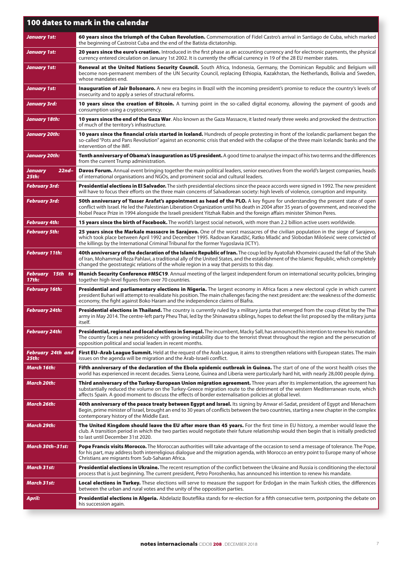| 100 dates to mark in the calendar        |                                                                                                                                                                                                                                                                                                                                                                                                       |  |
|------------------------------------------|-------------------------------------------------------------------------------------------------------------------------------------------------------------------------------------------------------------------------------------------------------------------------------------------------------------------------------------------------------------------------------------------------------|--|
| <b>January 1st:</b>                      | 60 years since the triumph of the Cuban Revolution. Commemoration of Fidel Castro's arrival in Santiago de Cuba, which marked<br>the beginning of Castroist Cuba and the end of the Batista dictatorship.                                                                                                                                                                                             |  |
| January 1st:                             | 20 years since the euro's creation. Introduced in the first phase as an accounting currency and for electronic payments, the physical<br>currency entered circulation on January 1st 2002. It is currently the official currency in 19 of the 28 EU member states.                                                                                                                                    |  |
| January 1st:                             | Renewal at the United Nations Security Council. South Africa, Indonesia, Germany, the Dominican Republic and Belgium will<br>become non-permanent members of the UN Security Council, replacing Ethiopia, Kazakhstan, the Netherlands, Bolivia and Sweden,<br>whose mandates end.                                                                                                                     |  |
| January 1st:                             | Inauguration of Jair Bolsonaro. A new era begins in Brazil with the incoming president's promise to reduce the country's levels of<br>insecurity and to apply a series of structural reforms.                                                                                                                                                                                                         |  |
| January 3rd:                             | 10 years since the creation of Bitcoin. A turning point in the so-called digital economy, allowing the payment of goods and<br>consumption using a cryptocurrency.                                                                                                                                                                                                                                    |  |
| January 18th:                            | 10 years since the end of the Gaza War. Also known as the Gaza Massacre, it lasted nearly three weeks and provoked the destruction<br>of much of the territory's infrastructure.                                                                                                                                                                                                                      |  |
| January 20th:                            | 10 years since the financial crisis started in Iceland. Hundreds of people protesting in front of the Icelandic parliament began the<br>so-called "Pots and Pans Revolution" against an economic crisis that ended with the collapse of the three main Icelandic banks and the<br>intervention of the IMF.                                                                                            |  |
| <b>January 20th:</b>                     | <b>Tenth anniversary of Obama's inauguration as US president.</b> A good time to analyse the impact of his two terms and the differences<br>from the current Trump administration.                                                                                                                                                                                                                    |  |
| January<br>$22nd-$<br>25th:              | <b>Davos Forum.</b> Annual event bringing together the main political leaders, senior executives from the world's largest companies, heads<br>of international organisations and NGOs, and prominent social and cultural leaders.                                                                                                                                                                     |  |
| February 3rd:                            | <b>Presidential elections in El Salvador.</b> The sixth presidential elections since the peace accords were signed in 1992. The new president<br>will have to focus their efforts on the three main concerns of Salvadorean society: high levels of violence, corruption and impunity.                                                                                                                |  |
| <b>February 3rd:</b>                     | 50th anniversary of Yasser Arafat's appointment as head of the PLO. A key figure for understanding the present state of open<br>conflict with Israel. He led the Palestinian Liberation Organization until his death in 2004 after 35 years of government, and received the<br>Nobel Peace Prize in 1994 alongside the Israeli president Yitzhak Rabin and the foreign affairs minister Shimon Peres. |  |
| February 4th:                            | 15 years since the birth of Facebook. The world's largest social network, with more than 2.2 billion active users worldwide.                                                                                                                                                                                                                                                                          |  |
| February 5th:                            | 25 years since the Markale massacre in Sarajevo. One of the worst massacres of the civilian population in the siege of Sarajevo,<br>which took place between April 1992 and December 1995. Radovan Karadžić, Ratko Mladić and Slobodan Milošević were convicted of<br>the killings by the International Criminal Tribunal for the former Yugoslavia (ICTY).                                           |  |
| <b>February 11th:</b>                    | 40th anniversary of the declaration of the Islamic Republic of Iran. The coup led by Ayatollah Khomeini caused the fall of the Shah<br>of Iran, Mohammad Reza Pahlavi, a traditional ally of the United States, and the establishment of the Islamic Republic, which completely<br>changed the geostrategic relations of the whole region in a way that persists to this day.                         |  |
| February 15th to<br>17th:                | <b>Munich Security Conference #MSC19.</b> Annual meeting of the largest independent forum on international security policies, bringing<br>together high-level figures from over 70 countries.                                                                                                                                                                                                         |  |
| <b>February 16th:</b>                    | Presidential and parliamentary elections in Nigeria. The largest economy in Africa faces a new electoral cycle in which current<br>president Buhari will attempt to revalidate his position. The main challenges facing the next president are: the weakness of the domestic<br>economy, the fight against Boko Haram and the independence claims of Biafra.                                          |  |
| February 24th:                           | Presidential elections in Thailand. The country is currently ruled by a military junta that emerged from the coup d'état by the Thai<br>army in May 2014. The centre-left party Pheu Thai, led by the Shinawatra siblings, hopes to defeat the list proposed by the military junta<br>itself.                                                                                                         |  |
| <b>February 24th:</b>                    | Presidential, regional and local elections in Senegal. The incumbent, Macky Sall, has announced his intention to renew his mandate.<br>The country faces a new presidency with growing instability due to the terrorist threat throughout the region and the persecution of<br>opposition political and social leaders in recent months.                                                              |  |
| <b>February 24th and</b><br><b>25th:</b> | First EU-Arab League Summit. Held at the request of the Arab League, it aims to strengthen relations with European states. The main<br>issues on the agenda will be migration and the Arab-Israeli conflict.                                                                                                                                                                                          |  |
| March 16th:                              | Fifth anniversary of the declaration of the Ebola epidemic outbreak in Guinea. The start of one of the worst health crises the<br>world has experienced in recent decades. Sierra Leone, Guinea and Liberia were particularly hard hit, with nearly 28,000 people dying.                                                                                                                              |  |
| March 20th:                              | Third anniversary of the Turkey-European Union migration agreement. Three years after its implementation, the agreement has<br>substantially reduced the volume on the Turkey-Greece migration route to the detriment of the western Mediterranean route, which<br>affects Spain. A good moment to discuss the effects of border externalisation policies at global level.                            |  |
| March 26th:                              | 40th anniversary of the peace treaty between Egypt and Israel. Its signing by Anwar el-Sadat, president of Egypt and Menachem<br>Begin, prime minister of Israel, brought an end to 30 years of conflicts between the two countries, starting a new chapter in the complex<br>contemporary history of the Middle East.                                                                                |  |
| March 29th:                              | The United Kingdom should leave the EU after more than 45 years. For the first time in EU history, a member would leave the<br>club. A transition period in which the two parties would negotiate their future relationship would then begin that is initially predicted<br>to last until December 31st 2020.                                                                                         |  |
| March 30th-31st:                         | <b>Pope Francis visits Morocco.</b> The Moroccan authorities will take advantage of the occasion to send a message of tolerance. The Pope,<br>for his part, may address both interreligious dialogue and the migration agenda, with Morocco an entry point to Europe many of whose<br>Christians are migrants from Sub-Saharan Africa.                                                                |  |
| <b>March 31st:</b>                       | <b>Presidential elections in Ukraine.</b> The recent resumption of the conflict between the Ukraine and Russia is conditioning the electoral<br>process that is just beginning. The current president, Petro Poroshenko, has announced his intention to renew his mandate.                                                                                                                            |  |
| March 31st:                              | Local elections in Turkey. These elections will serve to measure the support for Erdoğan in the main Turkish cities, the differences<br>between the urban and rural votes and the unity of the opposition parties.                                                                                                                                                                                    |  |
| April:                                   | <b>Presidential elections in Algeria.</b> Abdelaziz Bouteflika stands for re-election for a fifth consecutive term, postponing the debate on<br>his succession again.                                                                                                                                                                                                                                 |  |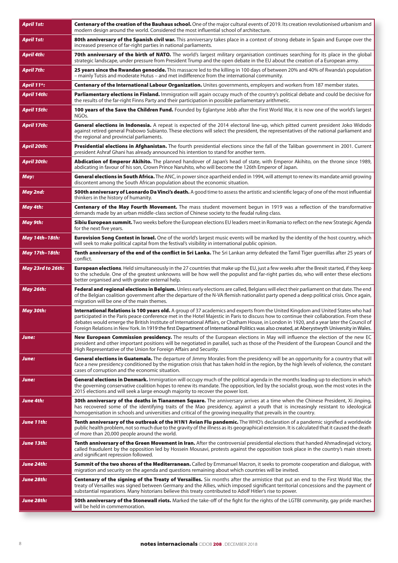| <b>April 1st:</b>        | Centenary of the creation of the Bauhaus school. One of the major cultural events of 2019. Its creation revolutionised urbanism and<br>modern design around the world. Considered the most influential school of architecture.                                                                                                                                                                                                                                                                                                                                                 |
|--------------------------|--------------------------------------------------------------------------------------------------------------------------------------------------------------------------------------------------------------------------------------------------------------------------------------------------------------------------------------------------------------------------------------------------------------------------------------------------------------------------------------------------------------------------------------------------------------------------------|
| April 1st:               | 80th anniversary of the Spanish civil war. This anniversary takes place in a context of strong debate in Spain and Europe over the<br>increased presence of far-right parties in national parliaments.                                                                                                                                                                                                                                                                                                                                                                         |
| April 4th:               | 70th anniversary of the birth of NATO. The world's largest military organisation continues searching for its place in the global<br>strategic landscape, under pressure from President Trump and the open debate in the EU about the creation of a European army.                                                                                                                                                                                                                                                                                                              |
| April 7th:               | <b>25 years since the Rwandan genocide.</b> This massacre led to the killing in 100 days of between 20% and 40% of Rwanda's population<br>- mainly Tutsis and moderate Hutus - and met indifference from the international community.                                                                                                                                                                                                                                                                                                                                          |
| April 11 <sup>th</sup> : | Centenary of the International Labour Organization. Unites governments, employers and workers from 187 member states.                                                                                                                                                                                                                                                                                                                                                                                                                                                          |
| April 14th:              | Parliamentary elections in Finland. Immigration will again occupy much of the country's political debate and could be decisive for<br>the results of the far-right Finns Party and their participation in possible parliamentary arithmetic.                                                                                                                                                                                                                                                                                                                                   |
| April 15th:              | 100 years of the Save the Children Fund. Founded by Eglantyne Jebb after the First World War, it is now one of the world's largest<br>NGOs.                                                                                                                                                                                                                                                                                                                                                                                                                                    |
| April 17th:              | General elections in Indonesia. A repeat is expected of the 2014 electoral line-up, which pitted current president Joko Widodo<br>against retired general Prabowo Subianto. These elections will select the president, the representatives of the national parliament and<br>the regional and provincial parliaments.                                                                                                                                                                                                                                                          |
| April 20th:              | <b>Presidential elections in Afghanistan.</b> The fourth presidential elections since the fall of the Taliban government in 2001. Current<br>president Ashraf Ghani has already announced his intention to stand for another term.                                                                                                                                                                                                                                                                                                                                             |
| April 30th:              | <b>Abdication of Emperor Akihito.</b> The planned handover of Japan's head of state, with Emperor Akihito, on the throne since 1989,<br>abdicating in favour of his son, Crown Prince Naruhito, who will become the 126th Emperor of Japan.                                                                                                                                                                                                                                                                                                                                    |
| May:                     | General elections in South Africa. The ANC, in power since apartheid ended in 1994, will attempt to renew its mandate amid growing<br>discontent among the South African population about the economic situation.                                                                                                                                                                                                                                                                                                                                                              |
| May 2nd:                 | <b>500th anniversary of Leonardo Da Vinci's death.</b> A good time to assess the artistic and scientific legacy of one of the most influential<br>thinkers in the history of humanity.                                                                                                                                                                                                                                                                                                                                                                                         |
| May 4th:                 | Centenary of the May Fourth Movement. The mass student movement begun in 1919 was a reflection of the transformative<br>demands made by an urban middle-class section of Chinese society to the feudal ruling class.                                                                                                                                                                                                                                                                                                                                                           |
| May 9th:                 | Sibiu European summit. Two weeks before the European elections EU leaders meet in Romania to reflect on the new Strategic Agenda<br>for the next five years.                                                                                                                                                                                                                                                                                                                                                                                                                   |
| May 14th-18th:           | <b>Eurovision Song Contest in Israel.</b> One of the world's largest music events will be marked by the identity of the host country, which<br>will seek to make political capital from the festival's visibility in international public opinion.                                                                                                                                                                                                                                                                                                                             |
| May 17th–18th:           | <b>Tenth anniversary of the end of the conflict in Sri Lanka.</b> The Sri Lankan army defeated the Tamil Tiger guerrillas after 25 years of<br>conflict.                                                                                                                                                                                                                                                                                                                                                                                                                       |
| May 23rd to 26th:        | <b>European elections</b> . Held simultaneously in the 27 countries that make up the EU, just a few weeks after the Brexit started, if they keep<br>to the schedule. One of the greatest unknowns will be how well the populist and far-right parties do, who will enter these elections<br>better organised and with greater external help.                                                                                                                                                                                                                                   |
| May 26th:                | Federal and regional elections in Belgium. Unless early elections are called, Belgians will elect their parliament on that date. The end<br>of the Belgian coalition government after the departure of the N-VA flemish nationalist party opened a deep political crisis. Once again,<br>migration will be one of the main themes.                                                                                                                                                                                                                                             |
| May 30th:                | <b>International Relations is 100 years old.</b> A group of 37 academics and experts from the United Kingdom and United States who had<br>participated in the Paris peace conference met in the Hotel Majestic in Paris to discuss how to continue their collaboration. From these<br>debates would emerge the British Institute of International Affairs, or Chatham House, in London in 1920, and a year later the Council of<br>Foreign Relations in New York. In 1919 the first Department of International Politics was also created, at Aberystwyth University in Wales. |
| June:                    | New European Commission presidency. The results of the European elections in May will influence the election of the new EC<br>president and other important positions will be negotiated in parallel, such as those of the President of the European Council and the<br>High Representative of the Union for Foreign Affairs and Security.                                                                                                                                                                                                                                     |
| June:                    | General elections in Guatemala. The departure of Jimmy Morales from the presidency will be an opportunity for a country that will<br>face a new presidency conditioned by the migration crisis that has taken hold in the region, by the high levels of violence, the constant<br>cases of corruption and the economic situation.                                                                                                                                                                                                                                              |
| June:                    | General elections in Denmark. Immigration will occupy much of the political agenda in the months leading up to elections in which<br>the governing conservative coalition hopes to renew its mandate. The opposition, led by the socialist group, won the most votes in the<br>2015 elections and will seek a large enough majority to recover the power lost.                                                                                                                                                                                                                 |
| June 4th:                | <b>30th anniversary of the deaths in Tiananmen Square.</b> The anniversary arrives at a time when the Chinese President, Xi Jinping,<br>has recovered some of the identifying traits of the Mao presidency, against a youth that is increasingly resistant to ideological<br>homogenisation in schools and universities and critical of the growing inequality that prevails in the country.                                                                                                                                                                                   |
| June 11th:               | Tenth anniversary of the outbreak of the H1N1 Avian Flu pandemic. The WHO's declaration of a pandemic signified a worldwide<br>public health problem, not so much due to the gravity of the illness as its geographical extension. It is calculated that it caused the death<br>of more than 20,000 people around the world.                                                                                                                                                                                                                                                   |
| June 13th:               | <b>Tenth anniversary of the Green Movement in Iran.</b> After the controversial presidential elections that handed Ahmadinejad victory,<br>called fraudulent by the opposition led by Hossein Mousavi, protests against the opposition took place in the country's main streets<br>and significant repression followed.                                                                                                                                                                                                                                                        |
| June 24th:               | Summit of the two shores of the Mediterranean. Called by Emmanuel Macron, it seeks to promote cooperation and dialogue, with<br>migration and security on the agenda and questions remaining about which countries will be invited.                                                                                                                                                                                                                                                                                                                                            |
| June 28th:               | Centenary of the signing of the Treaty of Versailles. Six months after the armistice that put an end to the First World War, the<br>treaty of Versailles was signed between Germany and the Allies, which imposed significant territorial concessions and the payment of<br>substantial reparations. Many historians believe this treaty contributed to Adolf Hitler's rise to power.                                                                                                                                                                                          |
| June 28th:               | <b>50th anniversary of the Stonewall riots.</b> Marked the take-off of the fight for the rights of the LGTBI community, gay pride marches<br>will be held in commemoration.                                                                                                                                                                                                                                                                                                                                                                                                    |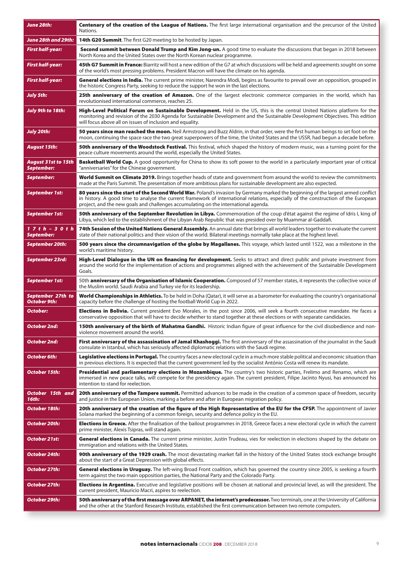| June 28th:                                      | Centenary of the creation of the League of Nations. The first large international organisation and the precursor of the United<br>Nations.                                                                                                                                                                                                                      |
|-------------------------------------------------|-----------------------------------------------------------------------------------------------------------------------------------------------------------------------------------------------------------------------------------------------------------------------------------------------------------------------------------------------------------------|
| June 28th and 29th:                             | <b>14th G20 Summit.</b> The first G20 meeting to be hosted by Japan.                                                                                                                                                                                                                                                                                            |
| <b>First half-year:</b>                         | Second summit between Donald Trump and Kim Jong-un. A good time to evaluate the discussions that began in 2018 between<br>North Korea and the United States over the North Korean nuclear programme.                                                                                                                                                            |
| <b>First half-year:</b>                         | 45th G7 Summit in France: Biarritz will host a new edition of the G7 at which discussions will be held and agreements sought on some<br>of the world's most pressing problems. President Macron will have the climate on his agenda.                                                                                                                            |
| <b>First half-year:</b>                         | General elections in India. The current prime minister, Narendra Modi, begins as favourite to prevail over an opposition, grouped in<br>the historic Congress Party, seeking to reduce the support he won in the last elections.                                                                                                                                |
| July 5th:                                       | 25th anniversary of the creation of Amazon. One of the largest electronic commerce companies in the world, which has<br>revolutionised international commerce, reaches 25.                                                                                                                                                                                      |
| <b>July 9th to 18th:</b>                        | High-Level Political Forum on Sustainable Development. Held in the US, this is the central United Nations platform for the<br>monitoring and revision of the 2030 Agenda for Sustainable Development and the Sustainable Development Objectives. This edition<br>will focus above all on issues of inclusion and equality.                                      |
| <b>July 20th:</b>                               | 50 years since man reached the moon. Neil Armstrong and Buzz Aldrin, in that order, were the first human beings to set foot on the<br>moon, continuing the space race the two great superpowers of the time, the United States and the USSR, had begun a decade before.                                                                                         |
| August 15th:                                    | <b>50th anniversary of the Woodstock Festival.</b> This festival, which shaped the history of modern music, was a turning point for the<br>peace culture movements around the world, especially the United States.                                                                                                                                              |
| <b>August 31st to 15th</b><br><b>September:</b> | <b>Basketball World Cup.</b> A good opportunity for China to show its soft power to the world in a particularly important year of critical<br>"anniversaries" for the Chinese government.                                                                                                                                                                       |
| September:                                      | World Summit on Climate 2019. Brings together heads of state and government from around the world to review the commitments<br>made at the Paris Summit. The presentation of more ambitious plans for sustainable development are also expected.                                                                                                                |
| <b>September 1st:</b>                           | 80 years since the start of the Second World War. Poland's invasion by Germany marked the beginning of the largest armed conflict<br>in history. A good time to analyse the current framework of international relations, especially of the construction of the European<br>project, and the new goals and challenges accumulating on the international agenda. |
| <b>September 1st:</b>                           | <b>50th anniversary of the September Revolution in Libya.</b> Commemoration of the coup d'état against the regime of Idris I, king of<br>Libya, which led to the establishment of the Libyan Arab Republic that was presided over by Muammar al-Gaddafi.                                                                                                        |
| 1 7 t h – 3 0 t h<br>September:                 | 74th Session of the United Nations General Assembly. An annual date that brings all world leaders together to evaluate the current<br>state of their national politics and their vision of the world. Bilateral meetings normally take place at the highest level.                                                                                              |
| September 20th:                                 | 500 years since the circumnavigation of the globe by Magallanes. This voyage, which lasted until 1522, was a milestone in the<br>world's maritime history.                                                                                                                                                                                                      |
| September 23rd:                                 | High-Level Dialogue in the UN on financing for development. Seeks to attract and direct public and private investment from<br>around the world for the implementation of actions and programmes aligned with the achievement of the Sustainable Development<br>Goals.                                                                                           |
| <b>September 1st:</b>                           | 50th <b>anniversary of the Organisation of Islamic Cooperation.</b> Composed of 57 member states, it represents the collective voice of<br>the Muslim world. Saudi Arabia and Turkey vie for its leadership.                                                                                                                                                    |
| September 27th to<br>October 9th:               | World Championships in Athletics. To be held in Doha (Qatar), it will serve as a barometer for evaluating the country's organisational<br>capacity before the challenge of hosting the football World Cup in 2022.                                                                                                                                              |
| October:                                        | Elections in Bolivia. Current president Evo Morales, in the post since 2006, will seek a fourth consecutive mandate. He faces a<br>conservative opposition that will have to decide whether to stand together at these elections or with separate candidacies.                                                                                                  |
| October 2nd:                                    | 150th anniversary of the birth of Mahatma Gandhi. Historic Indian figure of great influence for the civil disobedience and non-<br>violence movement around the world.                                                                                                                                                                                          |
| October 2nd:                                    | <b>First anniversary of the assassination of Jamal Khashoggi.</b> The first anniversary of the assassination of the journalist in the Saudi<br>consulate in Istanbul, which has seriously affected diplomatic relations with the Saudi regime.                                                                                                                  |
| October 6th:                                    | Legislative elections in Portugal. The country faces a new electoral cycle in a much more stable political and economic situation than<br>in previous elections. It is expected that the current government led by the socialist António Costa will renew its mandate.                                                                                          |
| October 15th:                                   | Presidential and parliamentary elections in Mozambique. The country's two historic parties, Frelimo and Renamo, which are<br>immersed in new peace talks, will compete for the presidency again. The current president, Filipe Jacinto Nyusi, has announced his<br>intention to stand for reelection.                                                           |
| October 15th and<br>16th:                       | 20th anniversary of the Tampere summit. Permitted advances to be made in the creation of a common space of freedom, security<br>and justice in the European Union, marking a before and after in European migration policy.                                                                                                                                     |
| October 18th:                                   | 20th anniversary of the creation of the figure of the High Representative of the EU for the CFSP. The appointment of Javier<br>Solana marked the beginning of a common foreign, security and defence policy in the EU.                                                                                                                                          |
| October 20th:                                   | <b>Elections in Greece.</b> After the finalisation of the bailout programmes in 2018, Greece faces a new electoral cycle in which the current<br>prime minister, Alexis Tsipras, will stand again.                                                                                                                                                              |
| October 21st:                                   | General elections in Canada. The current prime minister, Justin Trudeau, vies for reelection in elections shaped by the debate on<br>immigration and relations with the United States.                                                                                                                                                                          |
| October 24th:                                   | 90th anniversary of the 1929 crash. The most devastating market fall in the history of the United States stock exchange brought<br>about the start of a Great Depression with global effects.                                                                                                                                                                   |
| October 27th:                                   | General elections in Uruguay. The left-wing Broad Front coalition, which has governed the country since 2005, is seeking a fourth<br>term against the two main opposition parties, the National Party and the Colorado Party.                                                                                                                                   |
| October 27th:                                   | <b>Elections in Argentina.</b> Executive and legislative positions will be chosen at national and provincial level, as will the president. The<br>current president, Mauricio Macri, aspires to reelection.                                                                                                                                                     |
| October 29th:                                   | 50th anniversary of the first message over ARPANET, the internet's predecessor. Two terminals, one at the University of California<br>and the other at the Stanford Research Institute, established the first communication between two remote computers.                                                                                                       |